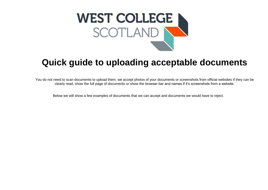

# **Quick guide to uploading acceptable documents**

You do not need to scan documents to upload them, we accept photos of your documents or screenshots from official websites if they can be clearly read, show the full page of documents or show the browser bar and names if it's screenshots from a website.

Below we will show a few examples of documents that we can accept and documents we would have to reject.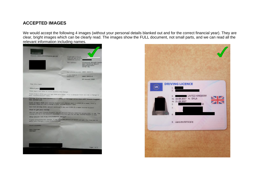## **ACCEPTED IMAGES**

We would accept the following 4 images (without your personal details blanked out and for the correct financial year). They are clear, bright images which can be clearly read. The images show the FULL document, not small parts, and we can read all the relevant information including names.

| jobcentreplus                                                                                                                                                                                                                                                                      |                                           |                                                                                       |
|------------------------------------------------------------------------------------------------------------------------------------------------------------------------------------------------------------------------------------------------------------------------------------|-------------------------------------------|---------------------------------------------------------------------------------------|
| Website: www.jobcentreplus.gov.uk                                                                                                                                                                                                                                                  | If you get in touch                       |                                                                                       |
|                                                                                                                                                                                                                                                                                    | with us, tell us this<br>reference number |                                                                                       |
|                                                                                                                                                                                                                                                                                    | Our address                               | <b>Clydebank Benefit Centre</b><br>Mail Handling Site A<br>Wolvertunnpton<br>WV98 1BL |
|                                                                                                                                                                                                                                                                                    | Our phone number 0800 1690310             |                                                                                       |
|                                                                                                                                                                                                                                                                                    | If you have a<br>textphone                | 0800 1690314                                                                          |
|                                                                                                                                                                                                                                                                                    | Date                                      | <b>23 January 2020</b>                                                                |
| Dear Mrs Clark                                                                                                                                                                                                                                                                     |                                           |                                                                                       |
| About your                                                                                                                                                                                                                                                                         |                                           |                                                                                       |
| From April the rates of some benefits may change.                                                                                                                                                                                                                                  |                                           |                                                                                       |
| From 3 April 2020 you will get £289.20 a week. This is because there will be a change to<br>your Income Support rates.                                                                                                                                                             |                                           |                                                                                       |
|                                                                                                                                                                                                                                                                                    |                                           |                                                                                       |
|                                                                                                                                                                                                                                                                                    |                                           |                                                                                       |
|                                                                                                                                                                                                                                                                                    |                                           |                                                                                       |
| The way this has been worked out is shown on the page called How your income Support<br>was worked out.<br>From 10 April 2020 your Income Support will change again to £295.25 a week. This is<br>because there will be a change to your Income Support rates.                     |                                           |                                                                                       |
| But from 29 May 2020, we will continue to pay your £295.25 a week income Support.<br>How to get your money                                                                                                                                                                         |                                           |                                                                                       |
| We will pay your Income Support into the account that you have told us you wish to use. The                                                                                                                                                                                        |                                           |                                                                                       |
|                                                                                                                                                                                                                                                                                    |                                           |                                                                                       |
|                                                                                                                                                                                                                                                                                    |                                           |                                                                                       |
| money will be in the account requested every fortnight by the day income Support is due.<br>What should I do if my circumstances change?<br>If your circumstances change, it may affect the amount of benefit you get. You must tell us<br>about any changes in your circumstances |                                           |                                                                                       |
| <b>Yours sincerely</b>                                                                                                                                                                                                                                                             |                                           |                                                                                       |
| Paul Sheridan                                                                                                                                                                                                                                                                      |                                           |                                                                                       |
| Manager                                                                                                                                                                                                                                                                            |                                           |                                                                                       |
|                                                                                                                                                                                                                                                                                    |                                           |                                                                                       |
|                                                                                                                                                                                                                                                                                    |                                           |                                                                                       |
|                                                                                                                                                                                                                                                                                    |                                           |                                                                                       |
|                                                                                                                                                                                                                                                                                    |                                           |                                                                                       |

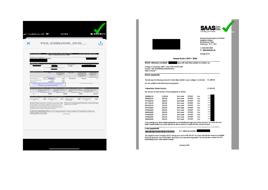| Do not destroy<br>Employer's mann and address                            | NHS Greater Glasgow and Clyde                                                                                                                                                                                                                                                                                                                             | P60 End of Year Certificate 2018/19<br>This is a printed copy of an eP60                                                                                                                                                          |                                                                                                                                      | Tax Year to 5 April 2019                          |
|--------------------------------------------------------------------------|-----------------------------------------------------------------------------------------------------------------------------------------------------------------------------------------------------------------------------------------------------------------------------------------------------------------------------------------------------------|-----------------------------------------------------------------------------------------------------------------------------------------------------------------------------------------------------------------------------------|--------------------------------------------------------------------------------------------------------------------------------------|---------------------------------------------------|
|                                                                          |                                                                                                                                                                                                                                                                                                                                                           |                                                                                                                                                                                                                                   |                                                                                                                                      |                                                   |
|                                                                          |                                                                                                                                                                                                                                                                                                                                                           | 511851                                                                                                                                                                                                                            |                                                                                                                                      |                                                   |
| Any and Importer Tan detail                                              |                                                                                                                                                                                                                                                                                                                                                           |                                                                                                                                                                                                                                   |                                                                                                                                      |                                                   |
|                                                                          | Fitty                                                                                                                                                                                                                                                                                                                                                     | Tay Deducted or<br>Grous Fay<br>nded (if return)<br>mark R()                                                                                                                                                                      | Skeinhrmustin<br>Centributions (Net)<br>Pay Schemes in this<br>any grispy murd.                                                      | Situ don't Lham<br>Deductions in the              |
| This employment<br>Previous employment[s]                                | ×<br>٠<br>٠Ţ<br>9,796.94<br>0.00                                                                                                                                                                                                                                                                                                                          | $\epsilon$<br>e<br>$\mathbf{r}$<br>0.00<br>0.00                                                                                                                                                                                   | <b>C</b><br>×<br>10.400.19<br>603.25                                                                                                 | E (whole Es origi)<br>$\bullet$                   |
| <b>Total for your</b>                                                    | 9,796.94<br>The figure shown here should be used for your tax return, if you get one, as this is your group pay from any supersensation contributions and charitable domations.                                                                                                                                                                           | 0.00                                                                                                                                                                                                                              | Mrs-ok Sill pulpment Indicator                                                                                                       |                                                   |
| ٨                                                                        | pt at tw 1.81<br><b>A BITIRYON JINK HOLAN TO 30</b><br>of the LELT<br>If declares the century<br>6,036                                                                                                                                                                                                                                                    | $+101$<br>Ew<br>and including the Primary<br><b>Grand</b><br>We UEL<br>If periode its weight<br>2,388                                                                                                                             | Threshold, up to and including<br><b>Printing Th</b><br>If distants the certain<br>1,976                                             | los all'interesses above the<br>×<br>w.<br>237.11 |
| Suicidory Materially<br><b>Pate</b>                                      | where programming included in the pay in This enty<br>0.00 Stakery Patronty<br>Pay                                                                                                                                                                                                                                                                        | Stephen Shared<br>0.00<br>Parental Pay                                                                                                                                                                                            | 0.00 Simony Adultion                                                                                                                 | 0.00                                              |
|                                                                          | To this semployees: Pleases loop this continuate in a safe plane as your will meet it in 0.01 in a successive. You also contribute in a sale plane as dataset for the contribute of the law of the same plane state in the tr<br>your HM Revenue & Cussoms Office and employer if there are any<br>changes to personal striate, for swample your address. | <b>HM Reverse &amp; Customs</b>                                                                                                                                                                                                   | By law you are required to tell HM Reverse & Customs about any income that is not fully taxed, even if you are not sent a tax return |                                                   |
|                                                                          |                                                                                                                                                                                                                                                                                                                                                           | Confidente by EnglepedPaying Office: This lone states your total pay for treates Tax purposes in this contingente for the year, Any<br>continus, bonus, communism ex, Statutory Sick Fay, Statutory Meteority Fay, Statutory Pate |                                                                                                                                      |                                                   |
| Statutory Adoption Pay is included.<br>P60 (Saturdistic) (Nets SCOTLAND) |                                                                                                                                                                                                                                                                                                                                                           | Do not desiring                                                                                                                                                                                                                   |                                                                                                                                      |                                                   |
|                                                                          |                                                                                                                                                                                                                                                                                                                                                           |                                                                                                                                                                                                                                   |                                                                                                                                      |                                                   |
|                                                                          |                                                                                                                                                                                                                                                                                                                                                           |                                                                                                                                                                                                                                   |                                                                                                                                      |                                                   |
|                                                                          |                                                                                                                                                                                                                                                                                                                                                           |                                                                                                                                                                                                                                   |                                                                                                                                      |                                                   |



AWARDLETTER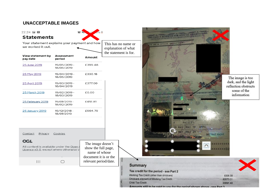## **UNACCEPTABLE IMAGES**

22:24 国图

### **Statements**

Your statement explains your payment and how we worked it out.

| View statement by | Assessment                 | Amount  |
|-------------------|----------------------------|---------|
| pay date          | period                     |         |
| 25 June 2019      | 19/05/2019 -<br>18/06/2019 | £399.48 |
| 25 May 2019       | 19/04/2019 -<br>18/05/2019 | £330.18 |
| 25 April 2019     | 19/03/2019 -<br>18/04/2019 | £377.00 |
| 25 March 2019     | 19/02/2019 -<br>18/03/2019 | £0.00   |
| 25 February 2019  | 19/01/2019 -<br>18/02/2019 | £451.81 |
| 25 January 2019   | 19/12/2018 -<br>18/01/2019 | £904.79 |
|                   |                            |         |

Contact Privacy Cookies

#### **OGL**

All content is available under the Open Licence v3.0, except where otherwise s

> $\mathbf{H}$  $\bigcap$

The image doesn't show the full page, name of whose document it is or the relevant period/date.



Amounts still to be paid to you for the period shown above.